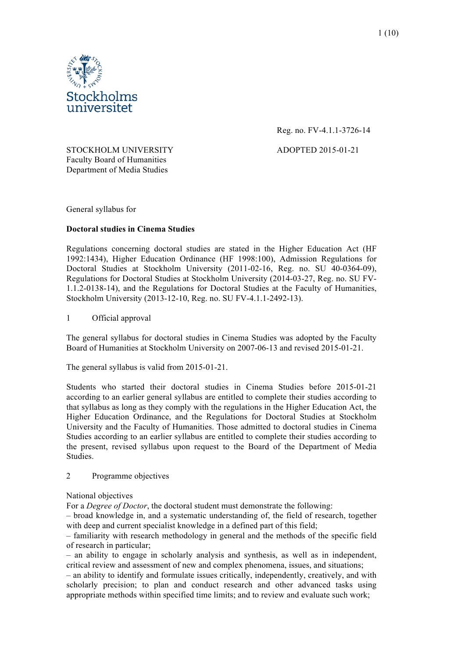

Reg. no. FV-4.1.1-3726-14

STOCKHOLM UNIVERSITY ADOPTED 2015-01-21 Faculty Board of Humanities Department of Media Studies

General syllabus for

# **Doctoral studies in Cinema Studies**

Regulations concerning doctoral studies are stated in the Higher Education Act (HF 1992:1434), Higher Education Ordinance (HF 1998:100), Admission Regulations for Doctoral Studies at Stockholm University (2011-02-16, Reg. no. SU 40-0364-09), Regulations for Doctoral Studies at Stockholm University (2014-03-27, Reg. no. SU FV-1.1.2-0138-14), and the Regulations for Doctoral Studies at the Faculty of Humanities, Stockholm University (2013-12-10, Reg. no. SU FV-4.1.1-2492-13).

# 1 Official approval

The general syllabus for doctoral studies in Cinema Studies was adopted by the Faculty Board of Humanities at Stockholm University on 2007-06-13 and revised 2015-01-21.

The general syllabus is valid from 2015-01-21.

Students who started their doctoral studies in Cinema Studies before 2015-01-21 according to an earlier general syllabus are entitled to complete their studies according to that syllabus as long as they comply with the regulations in the Higher Education Act, the Higher Education Ordinance, and the Regulations for Doctoral Studies at Stockholm University and the Faculty of Humanities. Those admitted to doctoral studies in Cinema Studies according to an earlier syllabus are entitled to complete their studies according to the present, revised syllabus upon request to the Board of the Department of Media Studies.

## 2 Programme objectives

## National objectives

For a *Degree of Doctor*, the doctoral student must demonstrate the following:

– broad knowledge in, and a systematic understanding of, the field of research, together with deep and current specialist knowledge in a defined part of this field;

– familiarity with research methodology in general and the methods of the specific field of research in particular;

– an ability to engage in scholarly analysis and synthesis, as well as in independent, critical review and assessment of new and complex phenomena, issues, and situations;

– an ability to identify and formulate issues critically, independently, creatively, and with scholarly precision; to plan and conduct research and other advanced tasks using appropriate methods within specified time limits; and to review and evaluate such work;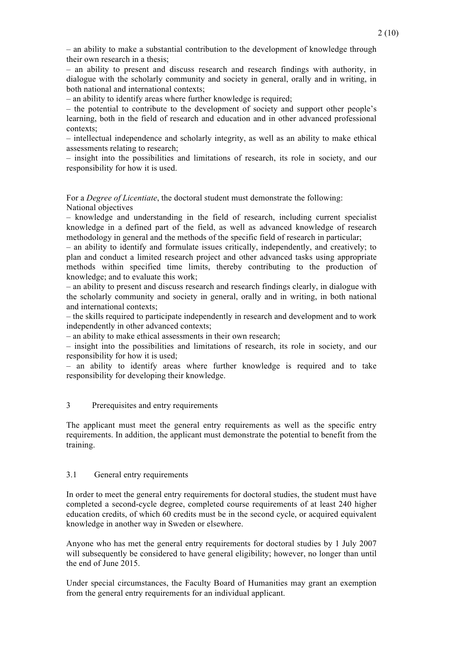– an ability to make a substantial contribution to the development of knowledge through their own research in a thesis;

– an ability to present and discuss research and research findings with authority, in dialogue with the scholarly community and society in general, orally and in writing, in both national and international contexts;

– an ability to identify areas where further knowledge is required;

– the potential to contribute to the development of society and support other people's learning, both in the field of research and education and in other advanced professional contexts;

– intellectual independence and scholarly integrity, as well as an ability to make ethical assessments relating to research;

– insight into the possibilities and limitations of research, its role in society, and our responsibility for how it is used.

For a *Degree of Licentiate*, the doctoral student must demonstrate the following: National objectives

– knowledge and understanding in the field of research, including current specialist knowledge in a defined part of the field, as well as advanced knowledge of research methodology in general and the methods of the specific field of research in particular;

– an ability to identify and formulate issues critically, independently, and creatively; to plan and conduct a limited research project and other advanced tasks using appropriate methods within specified time limits, thereby contributing to the production of knowledge; and to evaluate this work;

– an ability to present and discuss research and research findings clearly, in dialogue with the scholarly community and society in general, orally and in writing, in both national and international contexts;

– the skills required to participate independently in research and development and to work independently in other advanced contexts;

– an ability to make ethical assessments in their own research;

– insight into the possibilities and limitations of research, its role in society, and our responsibility for how it is used;

– an ability to identify areas where further knowledge is required and to take responsibility for developing their knowledge.

# 3 Prerequisites and entry requirements

The applicant must meet the general entry requirements as well as the specific entry requirements. In addition, the applicant must demonstrate the potential to benefit from the training.

## 3.1 General entry requirements

In order to meet the general entry requirements for doctoral studies, the student must have completed a second-cycle degree, completed course requirements of at least 240 higher education credits, of which 60 credits must be in the second cycle, or acquired equivalent knowledge in another way in Sweden or elsewhere.

Anyone who has met the general entry requirements for doctoral studies by 1 July 2007 will subsequently be considered to have general eligibility; however, no longer than until the end of June 2015.

Under special circumstances, the Faculty Board of Humanities may grant an exemption from the general entry requirements for an individual applicant.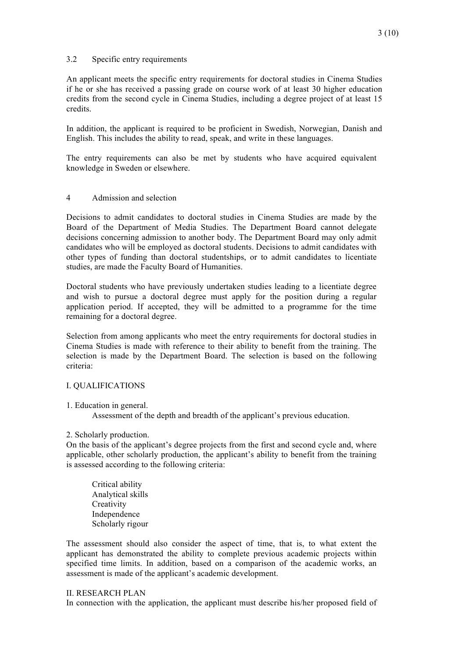## 3.2 Specific entry requirements

An applicant meets the specific entry requirements for doctoral studies in Cinema Studies if he or she has received a passing grade on course work of at least 30 higher education credits from the second cycle in Cinema Studies, including a degree project of at least 15 credits.

In addition, the applicant is required to be proficient in Swedish, Norwegian, Danish and English. This includes the ability to read, speak, and write in these languages.

The entry requirements can also be met by students who have acquired equivalent knowledge in Sweden or elsewhere.

## 4 Admission and selection

Decisions to admit candidates to doctoral studies in Cinema Studies are made by the Board of the Department of Media Studies. The Department Board cannot delegate decisions concerning admission to another body. The Department Board may only admit candidates who will be employed as doctoral students. Decisions to admit candidates with other types of funding than doctoral studentships, or to admit candidates to licentiate studies, are made the Faculty Board of Humanities.

Doctoral students who have previously undertaken studies leading to a licentiate degree and wish to pursue a doctoral degree must apply for the position during a regular application period. If accepted, they will be admitted to a programme for the time remaining for a doctoral degree.

Selection from among applicants who meet the entry requirements for doctoral studies in Cinema Studies is made with reference to their ability to benefit from the training. The selection is made by the Department Board. The selection is based on the following criteria:

## I. QUALIFICATIONS

#### 1. Education in general.

Assessment of the depth and breadth of the applicant's previous education.

#### 2. Scholarly production.

On the basis of the applicant's degree projects from the first and second cycle and, where applicable, other scholarly production, the applicant's ability to benefit from the training is assessed according to the following criteria:

Critical ability Analytical skills **Creativity** Independence Scholarly rigour

The assessment should also consider the aspect of time, that is, to what extent the applicant has demonstrated the ability to complete previous academic projects within specified time limits. In addition, based on a comparison of the academic works, an assessment is made of the applicant's academic development.

#### II. RESEARCH PLAN

In connection with the application, the applicant must describe his/her proposed field of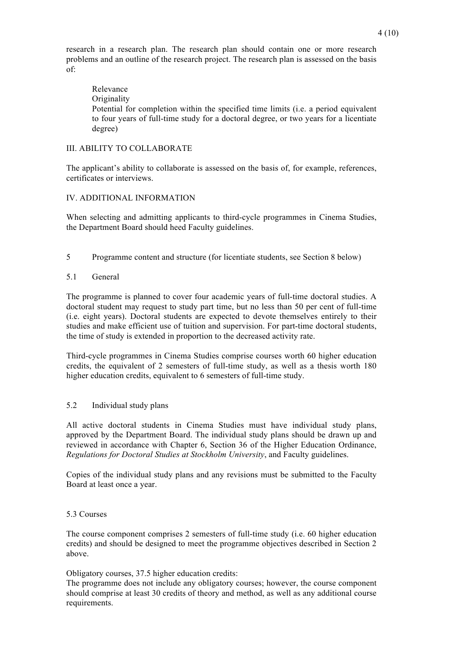research in a research plan. The research plan should contain one or more research problems and an outline of the research project. The research plan is assessed on the basis of:

Relevance **Originality** Potential for completion within the specified time limits (i.e. a period equivalent to four years of full-time study for a doctoral degree, or two years for a licentiate degree)

## III. ABILITY TO COLLABORATE

The applicant's ability to collaborate is assessed on the basis of, for example, references, certificates or interviews.

### IV. ADDITIONAL INFORMATION

When selecting and admitting applicants to third-cycle programmes in Cinema Studies, the Department Board should heed Faculty guidelines.

- 5 Programme content and structure (for licentiate students, see Section 8 below)
- 5.1 General

The programme is planned to cover four academic years of full-time doctoral studies. A doctoral student may request to study part time, but no less than 50 per cent of full-time (i.e. eight years). Doctoral students are expected to devote themselves entirely to their studies and make efficient use of tuition and supervision. For part-time doctoral students, the time of study is extended in proportion to the decreased activity rate.

Third-cycle programmes in Cinema Studies comprise courses worth 60 higher education credits, the equivalent of 2 semesters of full-time study, as well as a thesis worth 180 higher education credits, equivalent to 6 semesters of full-time study.

## 5.2 Individual study plans

All active doctoral students in Cinema Studies must have individual study plans, approved by the Department Board. The individual study plans should be drawn up and reviewed in accordance with Chapter 6, Section 36 of the Higher Education Ordinance, *Regulations for Doctoral Studies at Stockholm University*, and Faculty guidelines.

Copies of the individual study plans and any revisions must be submitted to the Faculty Board at least once a year.

#### 5.3 Courses

The course component comprises 2 semesters of full-time study (i.e. 60 higher education credits) and should be designed to meet the programme objectives described in Section 2 above.

Obligatory courses, 37.5 higher education credits:

The programme does not include any obligatory courses; however, the course component should comprise at least 30 credits of theory and method, as well as any additional course requirements.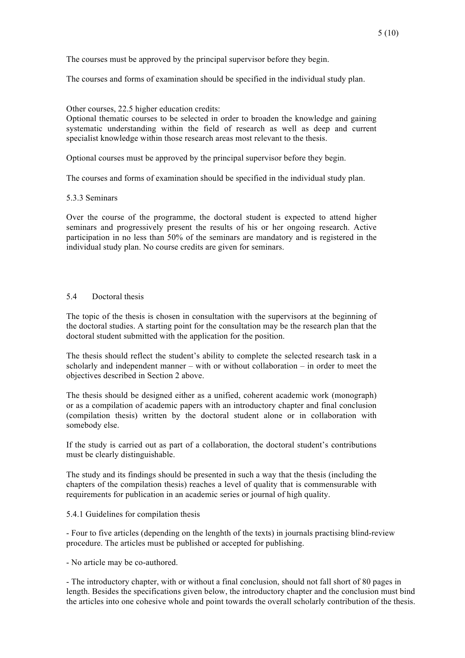The courses must be approved by the principal supervisor before they begin.

The courses and forms of examination should be specified in the individual study plan.

Other courses, 22.5 higher education credits:

Optional thematic courses to be selected in order to broaden the knowledge and gaining systematic understanding within the field of research as well as deep and current specialist knowledge within those research areas most relevant to the thesis.

Optional courses must be approved by the principal supervisor before they begin.

The courses and forms of examination should be specified in the individual study plan.

5.3.3 Seminars

Over the course of the programme, the doctoral student is expected to attend higher seminars and progressively present the results of his or her ongoing research. Active participation in no less than 50% of the seminars are mandatory and is registered in the individual study plan. No course credits are given for seminars.

### 5.4 Doctoral thesis

The topic of the thesis is chosen in consultation with the supervisors at the beginning of the doctoral studies. A starting point for the consultation may be the research plan that the doctoral student submitted with the application for the position.

The thesis should reflect the student's ability to complete the selected research task in a scholarly and independent manner – with or without collaboration – in order to meet the objectives described in Section 2 above.

The thesis should be designed either as a unified, coherent academic work (monograph) or as a compilation of academic papers with an introductory chapter and final conclusion (compilation thesis) written by the doctoral student alone or in collaboration with somebody else.

If the study is carried out as part of a collaboration, the doctoral student's contributions must be clearly distinguishable.

The study and its findings should be presented in such a way that the thesis (including the chapters of the compilation thesis) reaches a level of quality that is commensurable with requirements for publication in an academic series or journal of high quality.

#### 5.4.1 Guidelines for compilation thesis

- Four to five articles (depending on the lenghth of the texts) in journals practising blind-review procedure. The articles must be published or accepted for publishing.

- No article may be co-authored.

- The introductory chapter, with or without a final conclusion, should not fall short of 80 pages in length. Besides the specifications given below, the introductory chapter and the conclusion must bind the articles into one cohesive whole and point towards the overall scholarly contribution of the thesis.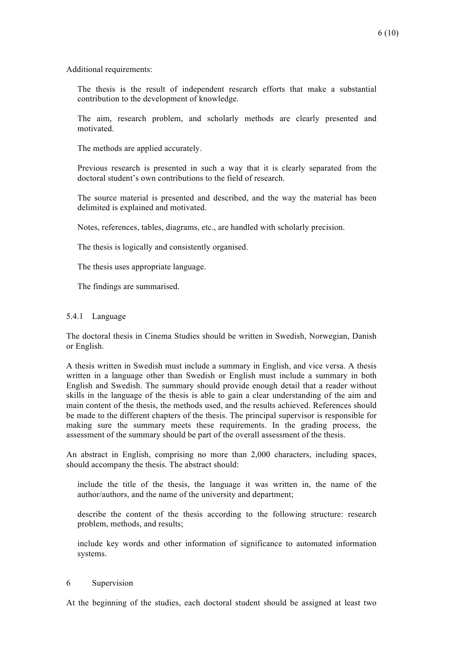Additional requirements:

The thesis is the result of independent research efforts that make a substantial contribution to the development of knowledge.

The aim, research problem, and scholarly methods are clearly presented and motivated.

The methods are applied accurately.

Previous research is presented in such a way that it is clearly separated from the doctoral student's own contributions to the field of research.

The source material is presented and described, and the way the material has been delimited is explained and motivated.

Notes, references, tables, diagrams, etc., are handled with scholarly precision.

The thesis is logically and consistently organised.

The thesis uses appropriate language.

The findings are summarised.

### 5.4.1 Language

The doctoral thesis in Cinema Studies should be written in Swedish, Norwegian, Danish or English.

A thesis written in Swedish must include a summary in English, and vice versa. A thesis written in a language other than Swedish or English must include a summary in both English and Swedish. The summary should provide enough detail that a reader without skills in the language of the thesis is able to gain a clear understanding of the aim and main content of the thesis, the methods used, and the results achieved. References should be made to the different chapters of the thesis. The principal supervisor is responsible for making sure the summary meets these requirements. In the grading process, the assessment of the summary should be part of the overall assessment of the thesis.

An abstract in English, comprising no more than 2,000 characters, including spaces, should accompany the thesis. The abstract should:

include the title of the thesis, the language it was written in, the name of the author/authors, and the name of the university and department;

describe the content of the thesis according to the following structure: research problem, methods, and results;

include key words and other information of significance to automated information systems.

#### 6 Supervision

At the beginning of the studies, each doctoral student should be assigned at least two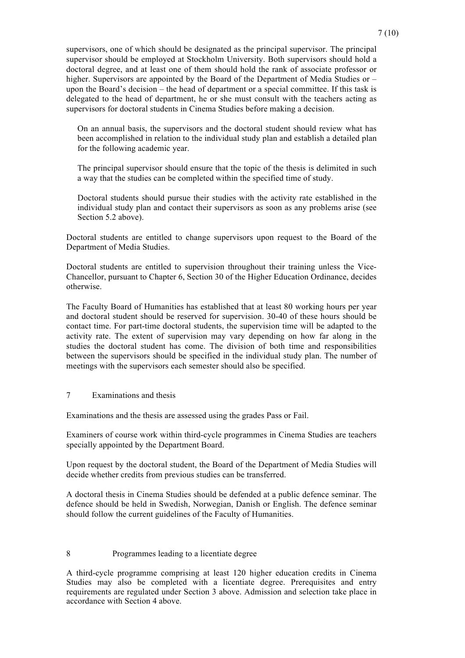supervisors, one of which should be designated as the principal supervisor. The principal supervisor should be employed at Stockholm University. Both supervisors should hold a doctoral degree, and at least one of them should hold the rank of associate professor or higher. Supervisors are appointed by the Board of the Department of Media Studies or – upon the Board's decision – the head of department or a special committee. If this task is delegated to the head of department, he or she must consult with the teachers acting as supervisors for doctoral students in Cinema Studies before making a decision.

On an annual basis, the supervisors and the doctoral student should review what has been accomplished in relation to the individual study plan and establish a detailed plan for the following academic year.

The principal supervisor should ensure that the topic of the thesis is delimited in such a way that the studies can be completed within the specified time of study.

Doctoral students should pursue their studies with the activity rate established in the individual study plan and contact their supervisors as soon as any problems arise (see Section 5.2 above).

Doctoral students are entitled to change supervisors upon request to the Board of the Department of Media Studies.

Doctoral students are entitled to supervision throughout their training unless the Vice-Chancellor, pursuant to Chapter 6, Section 30 of the Higher Education Ordinance, decides otherwise.

The Faculty Board of Humanities has established that at least 80 working hours per year and doctoral student should be reserved for supervision. 30-40 of these hours should be contact time. For part-time doctoral students, the supervision time will be adapted to the activity rate. The extent of supervision may vary depending on how far along in the studies the doctoral student has come. The division of both time and responsibilities between the supervisors should be specified in the individual study plan. The number of meetings with the supervisors each semester should also be specified.

#### 7 Examinations and thesis

Examinations and the thesis are assessed using the grades Pass or Fail.

Examiners of course work within third-cycle programmes in Cinema Studies are teachers specially appointed by the Department Board.

Upon request by the doctoral student, the Board of the Department of Media Studies will decide whether credits from previous studies can be transferred.

A doctoral thesis in Cinema Studies should be defended at a public defence seminar. The defence should be held in Swedish, Norwegian, Danish or English. The defence seminar should follow the current guidelines of the Faculty of Humanities.

### 8 Programmes leading to a licentiate degree

A third-cycle programme comprising at least 120 higher education credits in Cinema Studies may also be completed with a licentiate degree. Prerequisites and entry requirements are regulated under Section 3 above. Admission and selection take place in accordance with Section 4 above.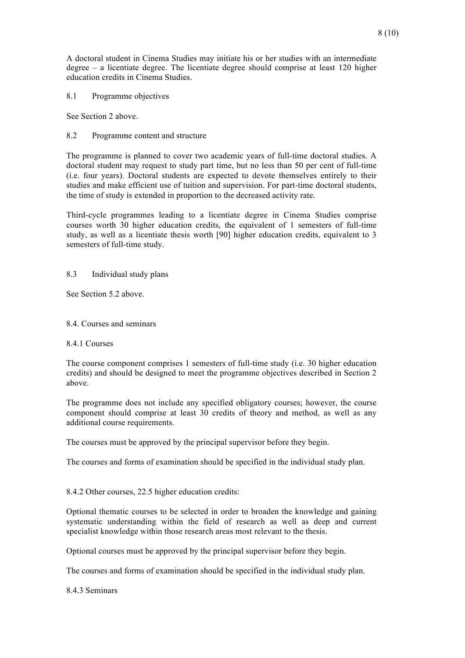A doctoral student in Cinema Studies may initiate his or her studies with an intermediate degree – a licentiate degree. The licentiate degree should comprise at least 120 higher education credits in Cinema Studies.

8.1 Programme objectives

See Section 2 above.

## 8.2 Programme content and structure

The programme is planned to cover two academic years of full-time doctoral studies. A doctoral student may request to study part time, but no less than 50 per cent of full-time (i.e. four years). Doctoral students are expected to devote themselves entirely to their studies and make efficient use of tuition and supervision. For part-time doctoral students, the time of study is extended in proportion to the decreased activity rate.

Third-cycle programmes leading to a licentiate degree in Cinema Studies comprise courses worth 30 higher education credits, the equivalent of 1 semesters of full-time study, as well as a licentiate thesis worth [90] higher education credits, equivalent to 3 semesters of full-time study.

### 8.3 Individual study plans

See Section 5.2 above.

### 8.4. Courses and seminars

#### 8.4.1 Courses

The course component comprises 1 semesters of full-time study (i.e. 30 higher education credits) and should be designed to meet the programme objectives described in Section 2 above.

The programme does not include any specified obligatory courses; however, the course component should comprise at least 30 credits of theory and method, as well as any additional course requirements.

The courses must be approved by the principal supervisor before they begin.

The courses and forms of examination should be specified in the individual study plan.

8.4.2 Other courses, 22.5 higher education credits:

Optional thematic courses to be selected in order to broaden the knowledge and gaining systematic understanding within the field of research as well as deep and current specialist knowledge within those research areas most relevant to the thesis.

Optional courses must be approved by the principal supervisor before they begin.

The courses and forms of examination should be specified in the individual study plan.

8.4.3 Seminars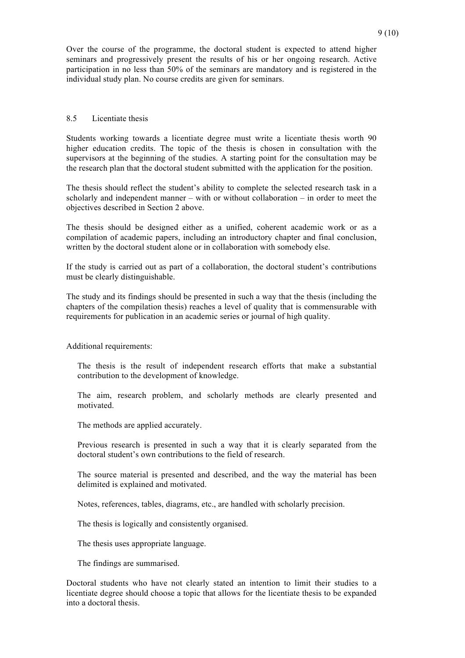Over the course of the programme, the doctoral student is expected to attend higher seminars and progressively present the results of his or her ongoing research. Active participation in no less than 50% of the seminars are mandatory and is registered in the individual study plan. No course credits are given for seminars.

### 8.5 Licentiate thesis

Students working towards a licentiate degree must write a licentiate thesis worth 90 higher education credits. The topic of the thesis is chosen in consultation with the supervisors at the beginning of the studies. A starting point for the consultation may be the research plan that the doctoral student submitted with the application for the position.

The thesis should reflect the student's ability to complete the selected research task in a scholarly and independent manner – with or without collaboration – in order to meet the objectives described in Section 2 above.

The thesis should be designed either as a unified, coherent academic work or as a compilation of academic papers, including an introductory chapter and final conclusion, written by the doctoral student alone or in collaboration with somebody else.

If the study is carried out as part of a collaboration, the doctoral student's contributions must be clearly distinguishable.

The study and its findings should be presented in such a way that the thesis (including the chapters of the compilation thesis) reaches a level of quality that is commensurable with requirements for publication in an academic series or journal of high quality.

Additional requirements:

The thesis is the result of independent research efforts that make a substantial contribution to the development of knowledge.

The aim, research problem, and scholarly methods are clearly presented and motivated.

The methods are applied accurately.

Previous research is presented in such a way that it is clearly separated from the doctoral student's own contributions to the field of research.

The source material is presented and described, and the way the material has been delimited is explained and motivated.

Notes, references, tables, diagrams, etc., are handled with scholarly precision.

The thesis is logically and consistently organised.

The thesis uses appropriate language.

The findings are summarised.

Doctoral students who have not clearly stated an intention to limit their studies to a licentiate degree should choose a topic that allows for the licentiate thesis to be expanded into a doctoral thesis.